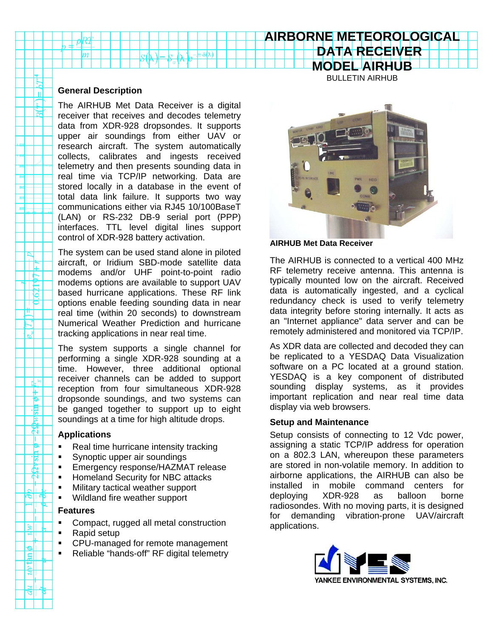# **AIRBORNE METEOROLOGICAL DATA RECEIVER**

**MODEL AIRHUB** BULLETIN AIRHUB

### **General Description**

The AIRHUB Met Data Receiver is a digital receiver that receives and decodes telemetry data from XDR-928 dropsondes. It supports upper air soundings from either UAV or research aircraft. The system automatically collects, calibrates and ingests received telemetry and then presents sounding data in real time via TCP/IP networking. Data are stored locally in a database in the event of total data link failure. It supports two way communications either via RJ45 10/100BaseT (LAN) or RS-232 DB-9 serial port (PPP) interfaces. TTL level digital lines support control of XDR-928 battery activation.

The system can be used stand alone in piloted aircraft, or Iridium SBD-mode satellite data modems and/or UHF point-to-point radio modems options are available to support UAV based hurricane applications. These RF link options enable feeding sounding data in near real time (within 20 seconds) to downstream Numerical Weather Prediction and hurricane tracking applications in near real time.

The system supports a single channel for performing a single XDR-928 sounding at a time. However, three additional optional receiver channels can be added to support reception from four simultaneous XDR-928 dropsonde soundings, and two systems can be ganged together to support up to eight soundings at a time for high altitude drops.

#### **Applications**

ା⊌ା

్

引 Ē  $\mathbb{R}^2$ 

**Allis** Æ.  $\mathbb{P}$ 

 $\omega$ ا $\omega$ 

الع  $\overline{\mathbf{g}}$ 

- Real time hurricane intensity tracking
- Synoptic upper air soundings
- Emergency response/HAZMAT release
- **-** Homeland Security for NBC attacks
- Military tactical weather support
- **Wildland fire weather support**

#### **Features**

- Compact, rugged all metal construction
- Rapid setup
- **CPU-managed for remote management**
- Reliable "hands-off" RF digital telemetry



## **AIRHUB Met Data Receiver**

The AIRHUB is connected to a vertical 400 MHz RF telemetry receive antenna. This antenna is typically mounted low on the aircraft. Received data is automatically ingested, and a cyclical redundancy check is used to verify telemetry data integrity before storing internally. It acts as an "Internet appliance" data server and can be remotely administered and monitored via TCP/IP.

As XDR data are collected and decoded they can be replicated to a YESDAQ Data Visualization software on a PC located at a ground station. YESDAQ is a key component of distributed sounding display systems, as it provides important replication and near real time data display via web browsers.

## **Setup and Maintenance**

Setup consists of connecting to 12 Vdc power, assigning a static TCP/IP address for operation on a 802.3 LAN, whereupon these parameters are stored in non-volatile memory. In addition to airborne applications, the AIRHUB can also be installed in mobile command centers for deploying XDR-928 as balloon borne radiosondes. With no moving parts, it is designed for demanding vibration-prone UAV/aircraft applications.